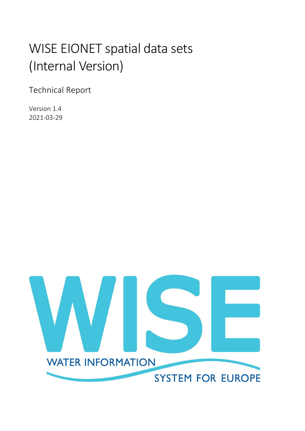# WISE EIONET spatial data sets (Internal Version)

Technical Report

Version 1.4 2021-03-29

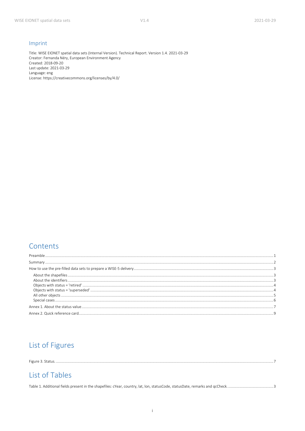#### Imprint

Title: WISE EIONET spatial data sets (Internal Version). Technical Report. Version 1.4. 2021-03-29 Creator: Fernanda Néry, European Environment Agency Created: 2018-09-20 Last update: 2021-03-29 Language: eng License: https://creativecommons.org/licenses/by/4.0/

#### Contents

| ة المستخدمات المستخدمات المستخدمات المستخدمات المستخدمات المستخدمات المستخدمات المستخدمات المستخدمات المستخدمات المستخدمات المستخدمات المستخدمات المستخدمات المستخدمات المستخدمات المستخدمات المستخدمات المستخدمات المستخدمات |  |
|-------------------------------------------------------------------------------------------------------------------------------------------------------------------------------------------------------------------------------|--|
|                                                                                                                                                                                                                               |  |
|                                                                                                                                                                                                                               |  |

## List of Figures

# List of Tables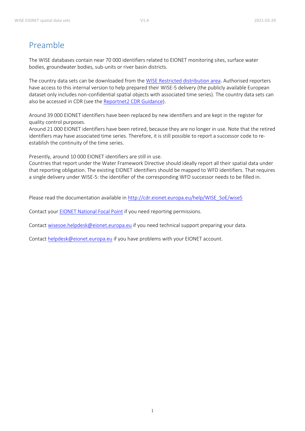# <span id="page-2-0"></span>Preamble

The WISE databases contain near 70 000 identifiers related to EIONET monitoring sites, surface water bodies, groundwater bodies, sub-units or river basin districts.

The country data sets can be downloaded from the [WISE Restricted distribution area.](https://forum.eionet.europa.eu/x_wise-reporting/library/restricted_distribution/) Authorised reporters have access to this internal version to help prepared their WISE-5 delivery (the publicly available European dataset only includes non-confidential spatial objects with associated time series). The country data sets can also be accessed in CDR (see the [Reportnet2 CDR Guidance\)](https://cdr.eionet.europa.eu/help/WFD/WFD_780_2022/GISGuidance/WISE_Reportnet2_Guidance.pdf).

Around 39 000 EIONET identifiers have been replaced by new identifiers and are kept in the register for quality control purposes.

Around 21 000 EIONET identifiers have been retired, because they are no longer in use. Note that the retired identifiers may have associated time series. Therefore, it is still possible to report a successor code to reestablish the continuity of the time series.

Presently, around 10 000 EIONET identifiers are still in use.

Countries that report under the Water Framework Directive should ideally report all their spatial data under that reporting obligation. The existing EIONET identifiers should be mapped to WFD identifiers. That requires a single delivery under WISE-5: the identifier of the corresponding WFD successor needs to be filled in.

Please read the documentation available in [http://cdr.eionet.europa.eu/help/WISE\\_SoE/wise5](http://cdr.eionet.europa.eu/help/WISE_SoE/wise5)

Contact your [EIONET National Focal Point](http://rod.eionet.europa.eu/contacts?roleId=eionet-nfp) if you need reporting permissions.

Contac[t wisesoe.helpdesk@eionet.europa.eu](mailto:wisesoe.helpdesk@eionet.europa.eu) if you need technical support preparing your data.

Contac[t helpdesk@eionet.europa.eu](mailto:helpdesk@eionet.europa.eu) if you have problems with your EIONET account.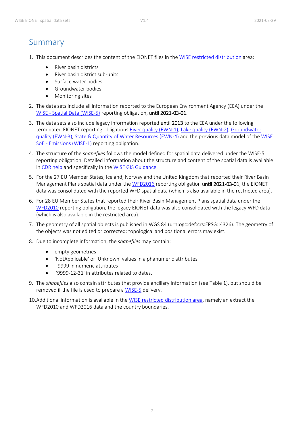## <span id="page-3-0"></span>Summary

- 1. This document describes the content of the EIONET files in the [WISE restricted distribution](https://forum.eionet.europa.eu/x_wise-reporting/library/restricted_distribution/) area:
	- River basin districts
	- River basin district sub-units
	- Surface water bodies
	- **•** Groundwater bodies
	- Monitoring sites
- 2. The data sets include all information reported to the European Environment Agency (EEA) under the WISE - [Spatial Data \(WISE-5\)](https://rod.eionet.europa.eu/obligations/716/overview) reporting obligation, until 2021-03-01.
- 3. The data sets also include legacy information reported until 2013 to the EEA under the following terminated EIONET reporting obligations [River quality \(EWN-1\),](http://rod.eionet.europa.eu/obligations/28) [Lake quality \(EWN-2\),](http://rod.eionet.europa.eu/obligations/29) [Groundwater](http://rod.eionet.europa.eu/obligations/30)  [quality \(EWN-3\),](http://rod.eionet.europa.eu/obligations/30) [State & Quantity of Water Resources \(EWN-4\)](http://rod.eionet.europa.eu/obligations/184) and the previous data model of the [WISE](http://rod.eionet.europa.eu/obligations/632)  SoE - [Emissions \(WISE-1\)](http://rod.eionet.europa.eu/obligations/632) reporting obligation.
- 4. The structure of the *shapefiles* follows the model defined for spatial data delivered under the WISE-5 reporting obligation. Detailed information about the structure and content of the spatial data is available in [CDR help](http://cdr.eionet.europa.eu/help/WISE_SoE/wise5) and specifically in the [WISE GIS Guidance.](https://cdr.eionet.europa.eu/help/WFD/WFD_780_2022/GISGuidance/WISE_GIS_Guidance.pdf)
- 5. For the 27 EU Member States, Iceland, Norway and the United Kingdom that reported their River Basin Management Plans spatial data under the [WFD2016](http://rod.eionet.europa.eu/obligations/717) reporting obligation until 2021-03-01, the EIONET data was consolidated with the reported WFD spatial data (which is also available in the restricted area).
- 6. For 28 EU Member States that reported their River Basin Management Plans spatial data under the [WFD2010](http://rod.eionet.europa.eu/obligations/521) reporting obligation, the legacy EIONET data was also consolidated with the legacy WFD data (which is also available in the restricted area).
- 7. The geometry of all spatial objects is published in WGS 84 (urn:ogc:def:crs:EPSG::4326). The geometry of the objects was not edited or corrected: topological and positional errors may exist.
- 8. Due to incomplete information, the *shapefiles* may contain:
	- empty geometries
	- 'NotApplicable' or 'Unknown' values in alphanumeric attributes
	- -9999 in numeric attributes
	- '9999-12-31' in attributes related to dates.
- 9. The *shapefiles* also contain attributes that provide ancillary information (see [Table 1\)](#page-4-3), but should be removed if the file is used to prepare a [WISE-5](http://rod.eionet.europa.eu/obligations/806) delivery.
- 10.Additional information is available in th[e WISE restricted distribution](https://forum.eionet.europa.eu/x_wise-reporting/library/restricted_distribution/) area, namely an extract the WFD2010 and WFD2016 data and the country boundaries.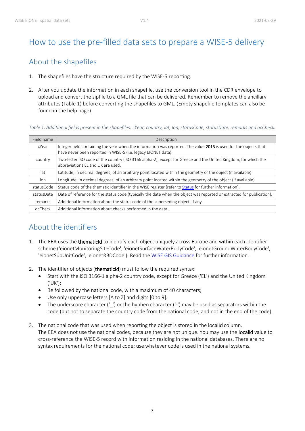# <span id="page-4-0"></span>How to use the pre-filled data sets to prepare a WISE-5 delivery

## <span id="page-4-1"></span>About the shapefiles

- 1. The shapefiles have the structure required by the WISE-5 reporting.
- 2. After you update the information in each shapefile, use the conversion tool in the CDR envelope to upload and convert the zipfile to a GML file that can be delivered. Remember to remove the ancillary attributes [\(Table 1\)](#page-4-3) before converting the shapefiles to GML. (Empty shapefile templates can also be found in the help page).

<span id="page-4-3"></span>*Table 1. Additional fields present in the shapefiles: cYear, country, lat, lon, statusCode, statusDate, remarks and qcCheck.*

| Field name | Description                                                                                                                                                                       |
|------------|-----------------------------------------------------------------------------------------------------------------------------------------------------------------------------------|
| cYear      | Integer field containing the year when the information was reported. The value 2013 is used for the objects that<br>have never been reported in WISE-5 (i.e. legacy EIONET data). |
| country    | Two-letter ISO code of the country (ISO 3166 alpha-2), except for Greece and the United Kingdom, for which the<br>abbreviations EL and UK are used.                               |
| lat        | Latitude, in decimal degrees, of an arbitrary point located within the geometry of the object (if available)                                                                      |
| lon.       | Longitude, in decimal degrees, of an arbitrary point located within the geometry of the object (if available)                                                                     |
| statusCode | Status code of the thematic identifier in the WISE register (refer to Status for further information).                                                                            |
| statusDate | Date of reference for the status code (typically the date when the object was reported or extracted for publication).                                                             |
| remarks    | Additional information about the status code of the superseding object, if any.                                                                                                   |
| gcCheck    | Additional information about checks performed in the data.                                                                                                                        |

## <span id="page-4-2"></span>About the identifiers

- 1. The EEA uses the thematicId to identify each object uniquely across Europe and within each identifier scheme ('eionetMonitoringSiteCode', 'eionetSurfaceWaterBodyCode', 'eionetGroundWaterBodyCode', 'eionetSubUnitCode', 'eionetRBDCode'). Read th[e WISE GIS Guidance](https://cdr.eionet.europa.eu/help/WFD/WFD_780_2022/GISGuidance/WISE_GIS_Guidance.pdf) for further information.
- 2. The identifier of objects (thematicId) must follow the required syntax:
	- Start with the ISO 3166-1 alpha-2 country code, except for Greece ('EL') and the United Kingdom ('UK');
	- Be followed by the national code, with a maximum of 40 characters;
	- Use only uppercase letters [A to Z] and digits [0 to 9].
	- The underscore character ('\_') or the hyphen character ('-') may be used as separators within the code (but not to separate the country code from the national code, and not in the end of the code).
- 3. The national code that was used when reporting the object is stored in the **localId** column. The EEA does not use the national codes, because they are not unique. You may use the localld value to cross-reference the WISE-5 record with information residing in the national databases. There are no syntax requirements for the national code: use whatever code is used in the national systems.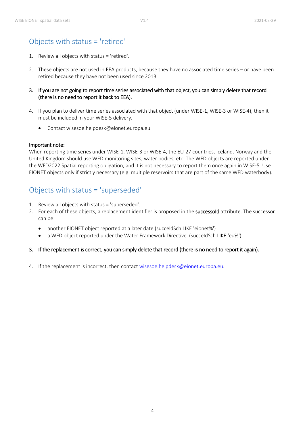## <span id="page-5-0"></span>Objects with status = 'retired'

- 1. Review all objects with status = 'retired'.
- 2. These objects are not used in EEA products, because they have no associated time series or have been retired because they have not been used since 2013.
- 3. If you are not going to report time series associated with that object, you can simply delete that record (there is no need to report it back to EEA).
- 4. If you plan to deliver time series associated with that object (under WISE-1, WISE-3 or WISE-4), then it must be included in your WISE-5 delivery.
	- Contact wisesoe.helpdesk@eionet.europa.eu

#### Important note:

When reporting time series under WISE-1, WISE-3 or WISE-4, the EU-27 countries, Iceland, Norway and the United Kingdom should use WFD monitoring sites, water bodies, etc. The WFD objects are reported under the WFD2022 Spatial reporting obligation, and it is not necessary to report them once again in WISE-5. Use EIONET objects only if strictly necessary (e.g. multiple reservoirs that are part of the same WFD waterbody).

## <span id="page-5-1"></span>Objects with status = 'superseded'

- 1. Review all objects with status = 'superseded'.
- 2. For each of these objects, a replacement identifier is proposed in the successold attribute. The successor can be:
	- another EIONET object reported at a later date (succeIdSch LIKE 'eionet%')
	- a WFD object reported under the Water Framework Directive (succeIdSch LIKE 'eu%')

#### 3. If the replacement is correct, you can simply delete that record (there is no need to report it again).

4. If the replacement is incorrect, then contact [wisesoe.helpdesk@eionet.europa.eu.](mailto:wisesoe.helpdesk@eionet.europa.eu)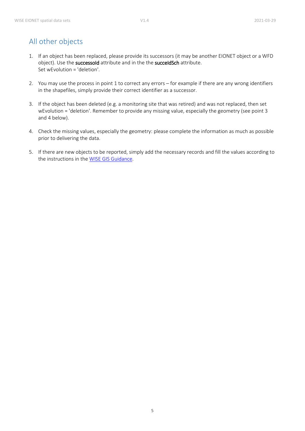# <span id="page-6-0"></span>All other objects

- 1. If an object has been replaced, please provide its successors (it may be another EIONET object or a WFD object). Use the successold attribute and in the the succeldSch attribute. Set wEvolution = 'deletion'.
- 2. You may use the process in point 1 to correct any errors for example if there are any wrong identifiers in the shapefiles, simply provide their correct identifier as a successor.
- 3. If the object has been deleted (e.g. a monitoring site that was retired) and was not replaced, then set wEvolution = 'deletion'. Remember to provide any missing value, especially the geometry (see point 3 and 4 below).
- 4. Check the missing values, especially the geometry: please complete the information as much as possible prior to delivering the data.
- 5. If there are new objects to be reported, simply add the necessary records and fill the values according to the instructions in the [WISE GIS Guidance.](https://cdr.eionet.europa.eu/help/WFD/WFD_780_2022/GISGuidance/WISE_GIS_Guidance.pdf)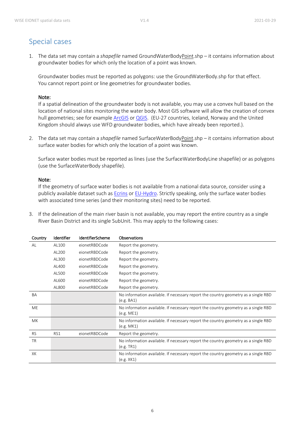# <span id="page-7-0"></span>Special cases

1. The data set may contain a *shapefile* named GroundWaterBodyPoint.shp – it contains information about groundwater bodies for which only the location of a point was known.

Groundwater bodies must be reported as polygons: use the GroundWaterBody.shp for that effect. You cannot report point or line geometries for groundwater bodies.

#### Note:

If a spatial delineation of the groundwater body is not available, you may use a convex hull based on the location of national sites monitoring the water body. Most GIS software will allow the creation of convex hull geometries; see for exampl[e ArcGIS](http://pro.arcgis.com/en/pro-app/tool-reference/data-management/minimum-bounding-geometry.htm) o[r QGIS.](https://docs.qgis.org/testing/en/docs/user_manual/processing_algs/qgis/vectorgeometry.html#minimum-bounding-geometry) (EU-27 countries, Iceland, Norway and the United Kingdom should always use WFD groundwater bodies, which have already been reported.).

2. The data set may contain a *shapefile* named SurfaceWaterBodyPoint.shp – it contains information about surface water bodies for which only the location of a point was known.

Surface water bodies must be reported as lines (use the SurfaceWaterBodyLine shapefile) or as polygons (use the SurfaceWaterBody shapefile).

#### Note:

If the geometry of surface water bodies is not available from a national data source, consider using a publicly available dataset such a[s Ecrins](https://sdi.eea.europa.eu/catalogue/srv/eng/catalog.search#/metadata/c156fb97-f3ea-4e61-b33f-b48236cb7f30) o[r EU-Hydro.](https://sdi.eea.europa.eu/catalogue/srv/eng/catalog.search#/metadata/2738bb1f-6b50-47e9-aba9-50157cb7228f) Strictly speaking, only the surface water bodies with associated time series (and their monitoring sites) need to be reported.

3. If the delineation of the main river basin is not available, you may report the entire country as a single River Basin District and its single SubUnit. This may apply to the following cases:

| Country   | Identifier | <b>IdentifierScheme</b> | <b>Observations</b>                                                                              |
|-----------|------------|-------------------------|--------------------------------------------------------------------------------------------------|
| AL        | AL100      | eionetRBDCode           | Report the geometry.                                                                             |
|           | AL200      | eionetRBDCode           | Report the geometry.                                                                             |
|           | AL300      | eionetRBDCode           | Report the geometry.                                                                             |
|           | AL400      | eionetRBDCode           | Report the geometry.                                                                             |
|           | AL500      | eionetRBDCode           | Report the geometry.                                                                             |
|           | AL600      | eionetRBDCode           | Report the geometry.                                                                             |
|           | AL800      | eionetRBDCode           | Report the geometry.                                                                             |
| BA        |            |                         | No information available. If necessary report the country geometry as a single RBD<br>(e.g. BA1) |
| ME        |            |                         | No information available. If necessary report the country geometry as a single RBD<br>(e.g. ME1) |
| MK.       |            |                         | No information available. If necessary report the country geometry as a single RBD<br>(e.g. MK1) |
| <b>RS</b> | RS1        | eionetRBDCode           | Report the geometry.                                                                             |
| <b>TR</b> |            |                         | No information available. If necessary report the country geometry as a single RBD<br>(e.g. TR1) |
| XK        |            |                         | No information available. If necessary report the country geometry as a single RBD<br>(e.g. XK1) |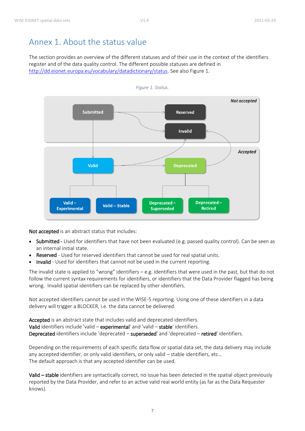# <span id="page-8-0"></span>Annex 1. About the status value

The section provides an overview of the different statuses and of their use in the context of the identifiers register and of the data quality control. The different possible statuses are defined in [http://dd.eionet.europa.eu/vocabulary/datadictionary/status.](http://dd.eionet.europa.eu/vocabulary/datadictionary/status) See also [Figure 1.](#page-8-1)

<span id="page-8-1"></span>

*Figure 1. Status.*

Not accepted is an abstract status that includes:

- Submitted Used for identifiers that have not been evaluated (e.g. passed quality control). Can be seen as an internal initial state.
- Reserved Used for reserved identifiers that cannot be used for real spatial units.
- Invalid Used for identifiers that cannot not be used in the current reporting.

The invalid state is applied to "wrong" identifiers – e.g. identifiers that were used in the past, but that do not follow the current syntax requirements for identifiers, or identifiers that the Data Provider flagged has being wrong. Invalid spatial identifiers can be replaced by other identifiers.

Not accepted identifiers cannot be used in the WISE-5 reporting. Using one of these identifiers in a data delivery will trigger a BLOCKER, i.e. the data cannot be delivered.

Accepted is an abstract state that includes valid and deprecated identifiers. Valid identifiers include 'valid – experimental' and 'valid – stable' identifiers. Deprecated identifiers include 'deprecated – superseded' and 'deprecated – retired' identifiers.

Depending on the requirements of each specific data flow or spatial data set, the data delivery may include any accepted identifier, or only valid identifiers, or only valid – stable identifiers, etc… The default approach is that any accepted identifier can be used.

Valid – stable identifiers are syntactically correct, no issue has been detected in the spatial object previously reported by the Data Provider, and refer to an active valid real world entity (as far as the Data Requester knows).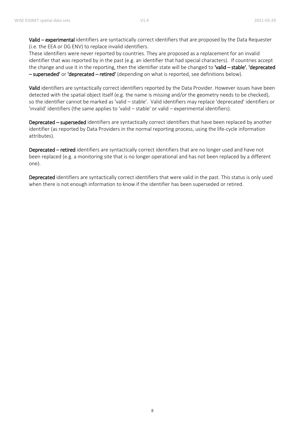Valid – experimental identifiers are syntactically correct identifiers that are proposed by the Data Requester (i.e. the EEA or DG ENV) to replace invalid identifiers.

These identifiers were never reported by countries. They are proposed as a replacement for an invalid identifier that was reported by in the past (e.g. an identifier that had special characters). If countries accept the change and use it in the reporting, then the identifier state will be changed to 'valid – stable', 'deprecated – superseded' or 'deprecated – retired' (depending on what is reported, see definitions below).

Valid identifiers are syntactically correct identifiers reported by the Data Provider. However issues have been detected with the spatial object itself (e.g. the name is missing and/or the geometry needs to be checked), so the identifier cannot be marked as 'valid – stable'. Valid identifiers may replace 'deprecated' identifiers or 'invalid' identifiers (the same applies to 'valid – stable' or valid – experimental identifiers).

Deprecated – superseded identifiers are syntactically correct identifiers that have been replaced by another identifier (as reported by Data Providers in the normal reporting process, using the life-cycle information attributes).

Deprecated – retired identifiers are syntactically correct identifiers that are no longer used and have not been replaced (e.g. a monitoring site that is no longer operational and has not been replaced by a different one).

Deprecated identifiers are syntactically correct identifiers that were valid in the past. This status is only used when there is not enough information to know if the identifier has been superseded or retired.